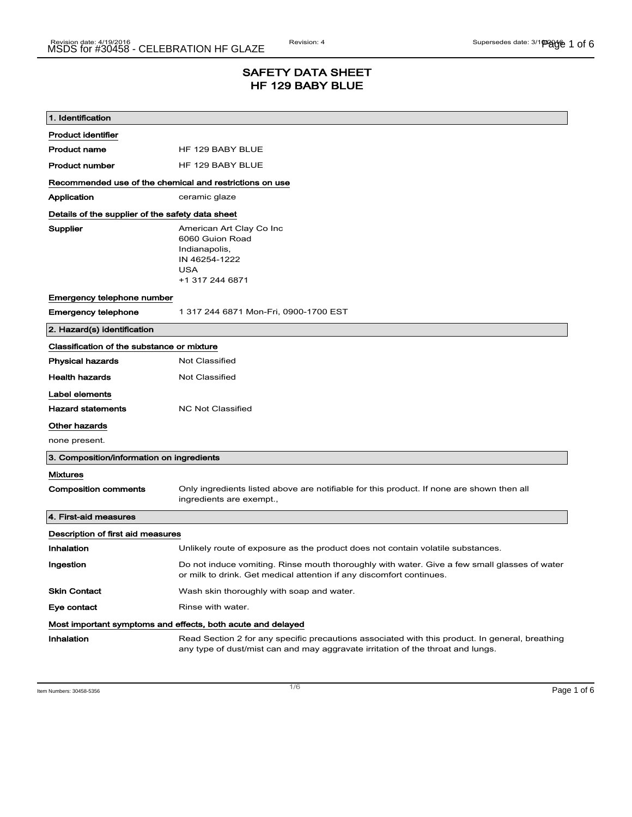## SAFETY DATA SHEET HF 129 BABY BLUE

| 1. Identification                                                            |                                                                                                                                                                                    |  |
|------------------------------------------------------------------------------|------------------------------------------------------------------------------------------------------------------------------------------------------------------------------------|--|
| <b>Product identifier</b>                                                    |                                                                                                                                                                                    |  |
| <b>Product name</b>                                                          | HF 129 BABY BLUE                                                                                                                                                                   |  |
| Product number                                                               | HF 129 BABY BLUE                                                                                                                                                                   |  |
| Recommended use of the chemical and restrictions on use                      |                                                                                                                                                                                    |  |
| Application                                                                  | ceramic glaze                                                                                                                                                                      |  |
| Details of the supplier of the safety data sheet                             |                                                                                                                                                                                    |  |
| Supplier                                                                     | American Art Clay Co Inc<br>6060 Guion Road<br>Indianapolis,<br>IN 46254-1222<br><b>USA</b><br>+1 317 244 6871                                                                     |  |
| Emergency telephone number                                                   |                                                                                                                                                                                    |  |
| <b>Emergency telephone</b>                                                   | 1 317 244 6871 Mon-Fri, 0900-1700 EST                                                                                                                                              |  |
| 2. Hazard(s) identification                                                  |                                                                                                                                                                                    |  |
| Classification of the substance or mixture                                   |                                                                                                                                                                                    |  |
| <b>Physical hazards</b>                                                      | <b>Not Classified</b>                                                                                                                                                              |  |
| <b>Health hazards</b>                                                        | Not Classified                                                                                                                                                                     |  |
| Label elements<br><b>Hazard statements</b><br>Other hazards<br>none present. | <b>NC Not Classified</b>                                                                                                                                                           |  |
| 3. Composition/information on ingredients                                    |                                                                                                                                                                                    |  |
| <b>Mixtures</b>                                                              |                                                                                                                                                                                    |  |
| <b>Composition comments</b>                                                  | Only ingredients listed above are notifiable for this product. If none are shown then all<br>ingredients are exempt.,                                                              |  |
| 4. First-aid measures                                                        |                                                                                                                                                                                    |  |
| Description of first aid measures                                            |                                                                                                                                                                                    |  |
| Inhalation                                                                   | Unlikely route of exposure as the product does not contain volatile substances.                                                                                                    |  |
| Ingestion                                                                    | Do not induce vomiting. Rinse mouth thoroughly with water. Give a few small glasses of water<br>or milk to drink. Get medical attention if any discomfort continues.               |  |
| <b>Skin Contact</b>                                                          | Wash skin thoroughly with soap and water.                                                                                                                                          |  |
| Eye contact                                                                  | Rinse with water.                                                                                                                                                                  |  |
| Most important symptoms and effects, both acute and delayed                  |                                                                                                                                                                                    |  |
| Inhalation                                                                   | Read Section 2 for any specific precautions associated with this product. In general, breathing<br>any type of dust/mist can and may aggravate irritation of the throat and lungs. |  |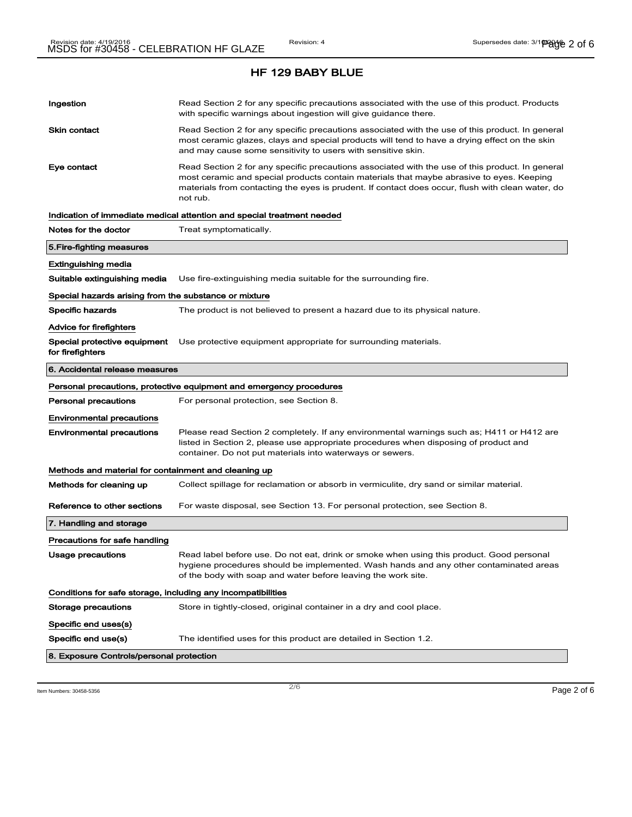| Ingestion                                                    | Read Section 2 for any specific precautions associated with the use of this product. Products<br>with specific warnings about ingestion will give guidance there.                                                                                                                                           |  |
|--------------------------------------------------------------|-------------------------------------------------------------------------------------------------------------------------------------------------------------------------------------------------------------------------------------------------------------------------------------------------------------|--|
| <b>Skin contact</b>                                          | Read Section 2 for any specific precautions associated with the use of this product. In general<br>most ceramic glazes, clays and special products will tend to have a drying effect on the skin<br>and may cause some sensitivity to users with sensitive skin.                                            |  |
| Eye contact                                                  | Read Section 2 for any specific precautions associated with the use of this product. In general<br>most ceramic and special products contain materials that maybe abrasive to eyes. Keeping<br>materials from contacting the eyes is prudent. If contact does occur, flush with clean water, do<br>not rub. |  |
|                                                              | Indication of immediate medical attention and special treatment needed                                                                                                                                                                                                                                      |  |
| Notes for the doctor                                         | Treat symptomatically.                                                                                                                                                                                                                                                                                      |  |
| 5. Fire-fighting measures                                    |                                                                                                                                                                                                                                                                                                             |  |
| Extinguishing media                                          |                                                                                                                                                                                                                                                                                                             |  |
| Suitable extinguishing media                                 | Use fire-extinguishing media suitable for the surrounding fire.                                                                                                                                                                                                                                             |  |
| Special hazards arising from the substance or mixture        |                                                                                                                                                                                                                                                                                                             |  |
| <b>Specific hazards</b>                                      | The product is not believed to present a hazard due to its physical nature.                                                                                                                                                                                                                                 |  |
| Advice for firefighters                                      |                                                                                                                                                                                                                                                                                                             |  |
| Special protective equipment<br>for firefighters             | Use protective equipment appropriate for surrounding materials.                                                                                                                                                                                                                                             |  |
| 6. Accidental release measures                               |                                                                                                                                                                                                                                                                                                             |  |
|                                                              | Personal precautions, protective equipment and emergency procedures                                                                                                                                                                                                                                         |  |
| <b>Personal precautions</b>                                  | For personal protection, see Section 8.                                                                                                                                                                                                                                                                     |  |
| <b>Environmental precautions</b>                             |                                                                                                                                                                                                                                                                                                             |  |
| <b>Environmental precautions</b>                             | Please read Section 2 completely. If any environmental warnings such as; H411 or H412 are<br>listed in Section 2, please use appropriate procedures when disposing of product and<br>container. Do not put materials into waterways or sewers.                                                              |  |
| Methods and material for containment and cleaning up         |                                                                                                                                                                                                                                                                                                             |  |
| Methods for cleaning up                                      | Collect spillage for reclamation or absorb in vermiculite, dry sand or similar material.                                                                                                                                                                                                                    |  |
| Reference to other sections                                  | For waste disposal, see Section 13. For personal protection, see Section 8.                                                                                                                                                                                                                                 |  |
| 7. Handling and storage                                      |                                                                                                                                                                                                                                                                                                             |  |
| Precautions for safe handling                                |                                                                                                                                                                                                                                                                                                             |  |
| Usage precautions                                            | Read label before use. Do not eat, drink or smoke when using this product. Good personal<br>hygiene procedures should be implemented. Wash hands and any other contaminated areas<br>of the body with soap and water before leaving the work site.                                                          |  |
| Conditions for safe storage, including any incompatibilities |                                                                                                                                                                                                                                                                                                             |  |
|                                                              |                                                                                                                                                                                                                                                                                                             |  |
| Storage precautions                                          | Store in tightly-closed, original container in a dry and cool place.                                                                                                                                                                                                                                        |  |
| Specific end uses(s)                                         |                                                                                                                                                                                                                                                                                                             |  |
| Specific end use(s)                                          | The identified uses for this product are detailed in Section 1.2.                                                                                                                                                                                                                                           |  |

Item Numbers: 30458-5356 **Page 2 of 6**  $\overline{2/6}$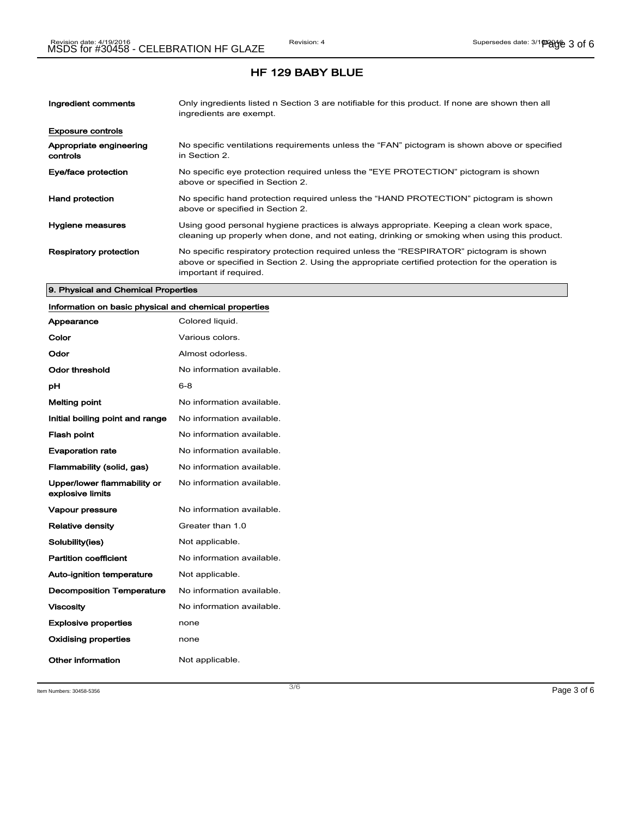| Ingredient comments                 | Only ingredients listed n Section 3 are notifiable for this product. If none are shown then all<br>ingredients are exempt.                                                                                           |
|-------------------------------------|----------------------------------------------------------------------------------------------------------------------------------------------------------------------------------------------------------------------|
| <b>Exposure controls</b>            |                                                                                                                                                                                                                      |
| Appropriate engineering<br>controls | No specific ventilations requirements unless the "FAN" pictogram is shown above or specified<br>in Section 2.                                                                                                        |
| Eye/face protection                 | No specific eye protection required unless the "EYE PROTECTION" pictogram is shown<br>above or specified in Section 2.                                                                                               |
| <b>Hand protection</b>              | No specific hand protection required unless the "HAND PROTECTION" pictogram is shown<br>above or specified in Section 2.                                                                                             |
| Hygiene measures                    | Using good personal hygiene practices is always appropriate. Keeping a clean work space,<br>cleaning up properly when done, and not eating, drinking or smoking when using this product.                             |
| <b>Respiratory protection</b>       | No specific respiratory protection required unless the "RESPIRATOR" pictogram is shown<br>above or specified in Section 2. Using the appropriate certified protection for the operation is<br>important if required. |

#### 9. Physical and Chemical Properties

# Information on basic physical and chemical properties

| Appearance                                      | Colored liquid.           |
|-------------------------------------------------|---------------------------|
| Color                                           | Various colors.           |
| Odor                                            | Almost odorless.          |
| Odor threshold                                  | No information available. |
| рH                                              | 6-8                       |
| <b>Melting point</b>                            | No information available. |
| Initial boiling point and range                 | No information available. |
| <b>Flash point</b>                              | No information available. |
| <b>Evaporation rate</b>                         | No information available. |
| Flammability (solid, gas)                       | No information available. |
| Upper/lower flammability or<br>explosive limits | No information available. |
| <b>Vapour pressure</b>                          | No information available. |
| <b>Relative density</b>                         | Greater than 1.0          |
| Solubility(ies)                                 | Not applicable.           |
| <b>Partition coefficient</b>                    | No information available. |
| <b>Auto-ignition temperature</b>                | Not applicable.           |
| <b>Decomposition Temperature</b>                | No information available. |
| <b>Viscosity</b>                                | No information available. |
| <b>Explosive properties</b>                     | none                      |
| <b>Oxidising properties</b>                     | none                      |
| Other information                               | Not applicable.           |

Item Numbers: 30458-5356 **Page 3 of 6**  $\overline{3/6}$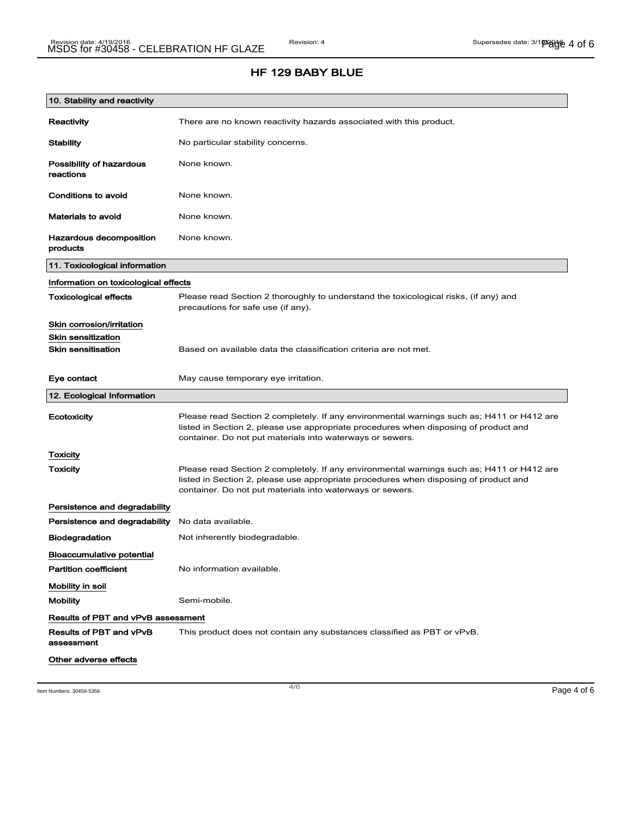## HF 129 BABY BLUE

| 10. Stability and reactivity               |                                                                                                                                                                                                                                                |
|--------------------------------------------|------------------------------------------------------------------------------------------------------------------------------------------------------------------------------------------------------------------------------------------------|
| Reactivity                                 | There are no known reactivity hazards associated with this product.                                                                                                                                                                            |
| <b>Stability</b>                           | No particular stability concerns.                                                                                                                                                                                                              |
| Possibility of hazardous<br>reactions      | None known.                                                                                                                                                                                                                                    |
| Conditions to avoid                        | None known.                                                                                                                                                                                                                                    |
| <b>Materials to avoid</b>                  | None known.                                                                                                                                                                                                                                    |
| <b>Hazardous decomposition</b><br>products | None known.                                                                                                                                                                                                                                    |
| 11. Toxicological information              |                                                                                                                                                                                                                                                |
| Information on toxicological effects       |                                                                                                                                                                                                                                                |
| <b>Toxicological effects</b>               | Please read Section 2 thoroughly to understand the toxicological risks, (if any) and<br>precautions for safe use (if any).                                                                                                                     |
| Skin corrosion/irritation                  |                                                                                                                                                                                                                                                |
| <b>Skin sensitization</b>                  |                                                                                                                                                                                                                                                |
| <b>Skin sensitisation</b>                  | Based on available data the classification criteria are not met.                                                                                                                                                                               |
| Eye contact                                | May cause temporary eye irritation.                                                                                                                                                                                                            |
| 12. Ecological Information                 |                                                                                                                                                                                                                                                |
| Ecotoxicity                                | Please read Section 2 completely. If any environmental warnings such as; H411 or H412 are<br>listed in Section 2, please use appropriate procedures when disposing of product and<br>container. Do not put materials into waterways or sewers. |
| Toxicity                                   |                                                                                                                                                                                                                                                |
| Toxicity                                   | Please read Section 2 completely. If any environmental warnings such as; H411 or H412 are<br>listed in Section 2, please use appropriate procedures when disposing of product and<br>container. Do not put materials into waterways or sewers. |
| Persistence and degradability              |                                                                                                                                                                                                                                                |
| Persistence and degradability              | No data available.                                                                                                                                                                                                                             |
| <b>Biodegradation</b>                      | Not inherently biodegradable.                                                                                                                                                                                                                  |
| <b>Bioaccumulative potential</b>           |                                                                                                                                                                                                                                                |
| <b>Partition coefficient</b>               | No information available.                                                                                                                                                                                                                      |
| Mobility in soil                           |                                                                                                                                                                                                                                                |
| <b>Mobility</b>                            | Semi-mobile.                                                                                                                                                                                                                                   |
| Results of PBT and vPvB assessment         |                                                                                                                                                                                                                                                |
| Results of PBT and vPvB<br>assessment      | This product does not contain any substances classified as PBT or vPvB.                                                                                                                                                                        |
| Other adverse effects                      |                                                                                                                                                                                                                                                |

Item Numbers: 30458-5356 **Page 4 of 6**  $\overline{a}$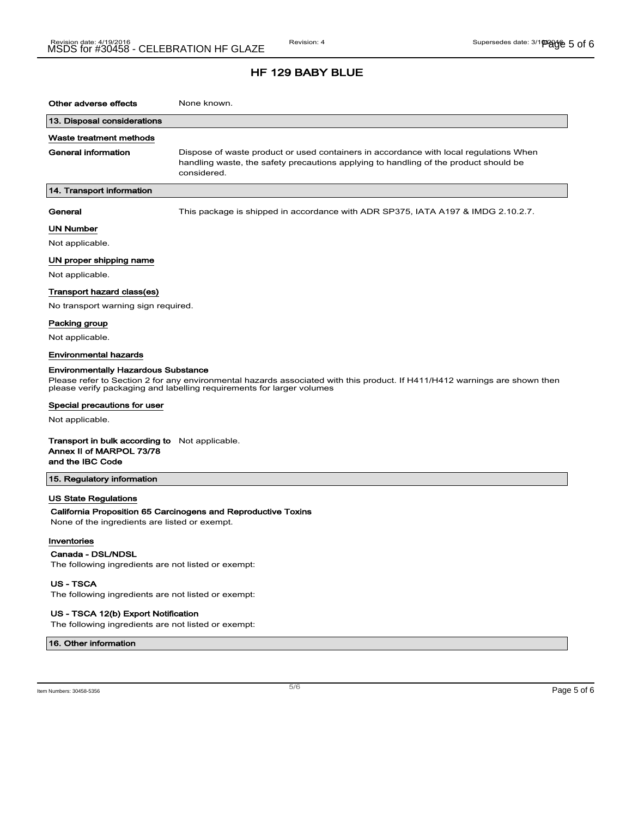| Other adverse effects                                                                                                                                                                                                                                                                                | None known.                                                                                                                                                                                  |  |
|------------------------------------------------------------------------------------------------------------------------------------------------------------------------------------------------------------------------------------------------------------------------------------------------------|----------------------------------------------------------------------------------------------------------------------------------------------------------------------------------------------|--|
| 13. Disposal considerations                                                                                                                                                                                                                                                                          |                                                                                                                                                                                              |  |
| Waste treatment methods                                                                                                                                                                                                                                                                              |                                                                                                                                                                                              |  |
| General information                                                                                                                                                                                                                                                                                  | Dispose of waste product or used containers in accordance with local regulations When<br>handling waste, the safety precautions applying to handling of the product should be<br>considered. |  |
| 14. Transport information                                                                                                                                                                                                                                                                            |                                                                                                                                                                                              |  |
| General                                                                                                                                                                                                                                                                                              | This package is shipped in accordance with ADR SP375, IATA A197 & IMDG 2.10.2.7.                                                                                                             |  |
| UN Number                                                                                                                                                                                                                                                                                            |                                                                                                                                                                                              |  |
| Not applicable.                                                                                                                                                                                                                                                                                      |                                                                                                                                                                                              |  |
| UN proper shipping name                                                                                                                                                                                                                                                                              |                                                                                                                                                                                              |  |
| Not applicable.                                                                                                                                                                                                                                                                                      |                                                                                                                                                                                              |  |
| Transport hazard class(es)                                                                                                                                                                                                                                                                           |                                                                                                                                                                                              |  |
| No transport warning sign required.                                                                                                                                                                                                                                                                  |                                                                                                                                                                                              |  |
| Packing group                                                                                                                                                                                                                                                                                        |                                                                                                                                                                                              |  |
| Not applicable.                                                                                                                                                                                                                                                                                      |                                                                                                                                                                                              |  |
| Environmental hazards                                                                                                                                                                                                                                                                                |                                                                                                                                                                                              |  |
| <b>Environmentally Hazardous Substance</b><br>Please refer to Section 2 for any environmental hazards associated with this product. If H411/H412 warnings are shown then<br>please verify packaging and labelling requirements for larger volumes<br>Special precautions for user<br>Not applicable. |                                                                                                                                                                                              |  |
| <b>Transport in bulk according to</b> Not applicable.<br>Annex II of MARPOL 73/78<br>and the IBC Code                                                                                                                                                                                                |                                                                                                                                                                                              |  |
| 15. Regulatory information                                                                                                                                                                                                                                                                           |                                                                                                                                                                                              |  |
| US State Regulations                                                                                                                                                                                                                                                                                 |                                                                                                                                                                                              |  |
|                                                                                                                                                                                                                                                                                                      | California Proposition 65 Carcinogens and Reproductive Toxins                                                                                                                                |  |
| None of the ingredients are listed or exempt.                                                                                                                                                                                                                                                        |                                                                                                                                                                                              |  |
| Inventories                                                                                                                                                                                                                                                                                          |                                                                                                                                                                                              |  |
| Canada - DSL/NDSL                                                                                                                                                                                                                                                                                    |                                                                                                                                                                                              |  |
| The following ingredients are not listed or exempt:                                                                                                                                                                                                                                                  |                                                                                                                                                                                              |  |
| <b>US-TSCA</b>                                                                                                                                                                                                                                                                                       |                                                                                                                                                                                              |  |
| The following ingredients are not listed or exempt:                                                                                                                                                                                                                                                  |                                                                                                                                                                                              |  |

US - TSCA 12(b) Export Notification

The following ingredients are not listed or exempt:

16. Other information